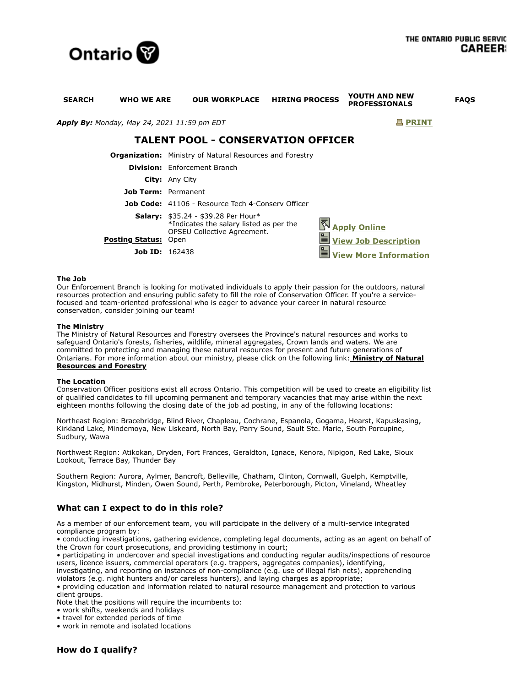

| <b>SEARCH</b><br><b>WHO WE ARE</b>          | <b>OUR WORKPLACE</b>                                                                                                                | <b>HIRING PROCESS</b> | YOUTH AND NEW<br><b>PROFESSIONALS</b>              | <b>FAQS</b> |
|---------------------------------------------|-------------------------------------------------------------------------------------------------------------------------------------|-----------------------|----------------------------------------------------|-------------|
| Apply By: Monday, May 24, 2021 11:59 pm EDT |                                                                                                                                     |                       | <b>图 PRINT</b>                                     |             |
| <b>TALENT POOL - CONSERVATION OFFICER</b>   |                                                                                                                                     |                       |                                                    |             |
|                                             | <b>Organization:</b> Ministry of Natural Resources and Forestry                                                                     |                       |                                                    |             |
|                                             | <b>Division:</b> Enforcement Branch                                                                                                 |                       |                                                    |             |
|                                             | <b>City:</b> Any City                                                                                                               |                       |                                                    |             |
| Job Term: Permanent                         |                                                                                                                                     |                       |                                                    |             |
|                                             | <b>Job Code:</b> 41106 - Resource Tech 4-Consery Officer                                                                            |                       |                                                    |             |
| <b>Posting Status:</b>                      | <b>Salary:</b> $$35.24 - $39.28$ Per Hour*<br>*Indicates the salary listed as per the<br><b>OPSEU Collective Agreement.</b><br>Open | $\equiv$              | <b>Apply Online</b><br><b>View Job Description</b> |             |
| <b>Job ID:</b> $162438$                     |                                                                                                                                     |                       |                                                    |             |
|                                             |                                                                                                                                     |                       | <b>View More Information</b>                       |             |

### **The Job**

Our Enforcement Branch is looking for motivated individuals to apply their passion for the outdoors, natural resources protection and ensuring public safety to fill the role of Conservation Officer. If you're a servicefocused and team-oriented professional who is eager to advance your career in natural resource conservation, consider joining our team!

### **The Ministry**

The Ministry of Natural Resources and Forestry oversees the Province's natural resources and works to safeguard Ontario's forests, fisheries, wildlife, mineral aggregates, Crown lands and waters. We are committed to protecting and managing these natural resources for present and future generations of [Ontarians. For more information about our ministry, please click on the following link:](https://www.ontario.ca/page/ministry-natural-resources-and-forestry) **Ministry of Natural Resources and Forestry**

### **The Location**

Conservation Officer positions exist all across Ontario. This competition will be used to create an eligibility list of qualified candidates to fill upcoming permanent and temporary vacancies that may arise within the next eighteen months following the closing date of the job ad posting, in any of the following locations:

Northeast Region: Bracebridge, Blind River, Chapleau, Cochrane, Espanola, Gogama, Hearst, Kapuskasing, Kirkland Lake, Mindemoya, New Liskeard, North Bay, Parry Sound, Sault Ste. Marie, South Porcupine, Sudbury, Wawa

Northwest Region: Atikokan, Dryden, Fort Frances, Geraldton, Ignace, Kenora, Nipigon, Red Lake, Sioux Lookout, Terrace Bay, Thunder Bay

Southern Region: Aurora, Aylmer, Bancroft, Belleville, Chatham, Clinton, Cornwall, Guelph, Kemptville, Kingston, Midhurst, Minden, Owen Sound, Perth, Pembroke, Peterborough, Picton, Vineland, Wheatley

# **What can I expect to do in this role?**

As a member of our enforcement team, you will participate in the delivery of a multi-service integrated compliance program by:

• conducting investigations, gathering evidence, completing legal documents, acting as an agent on behalf of the Crown for court prosecutions, and providing testimony in court;

• participating in undercover and special investigations and conducting regular audits/inspections of resource users, licence issuers, commercial operators (e.g. trappers, aggregates companies), identifying,

investigating, and reporting on instances of non-compliance (e.g. use of illegal fish nets), apprehending violators (e.g. night hunters and/or careless hunters), and laying charges as appropriate;

• providing education and information related to natural resource management and protection to various client groups.

Note that the positions will require the incumbents to:

- work shifts, weekends and holidays
- travel for extended periods of time
- work in remote and isolated locations

**How do I qualify?**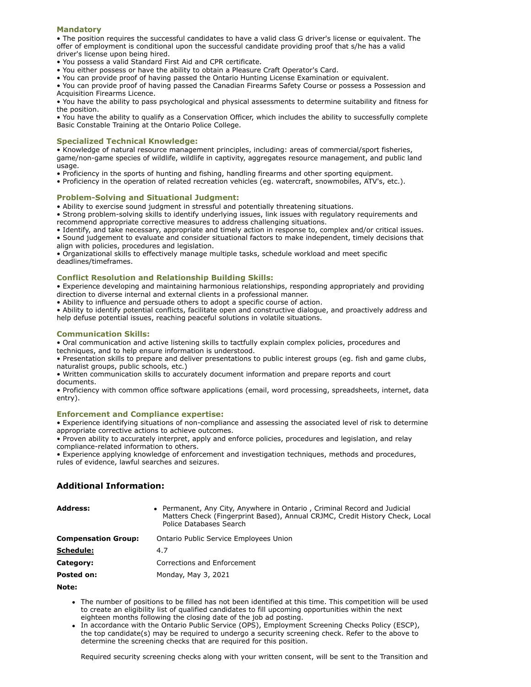# **Mandatory**

• The position requires the successful candidates to have a valid class G driver's license or equivalent. The offer of employment is conditional upon the successful candidate providing proof that s/he has a valid driver's license upon being hired.

• You possess a valid Standard First Aid and CPR certificate.

- You either possess or have the ability to obtain a Pleasure Craft Operator's Card.
- You can provide proof of having passed the Ontario Hunting License Examination or equivalent.

• You can provide proof of having passed the Canadian Firearms Safety Course or possess a Possession and Acquisition Firearms Licence.

• You have the ability to pass psychological and physical assessments to determine suitability and fitness for the position.

• You have the ability to qualify as a Conservation Officer, which includes the ability to successfully complete Basic Constable Training at the Ontario Police College.

### **Specialized Technical Knowledge:**

• Knowledge of natural resource management principles, including: areas of commercial/sport fisheries, game/non-game species of wildlife, wildlife in captivity, aggregates resource management, and public land usage.

- Proficiency in the sports of hunting and fishing, handling firearms and other sporting equipment.
- Proficiency in the operation of related recreation vehicles (eg. watercraft, snowmobiles, ATV's, etc.).

#### **Problem-Solving and Situational Judgment:**

• Ability to exercise sound judgment in stressful and potentially threatening situations.

• Strong problem-solving skills to identify underlying issues, link issues with regulatory requirements and recommend appropriate corrective measures to address challenging situations.

• Identify, and take necessary, appropriate and timely action in response to, complex and/or critical issues.

• Sound judgement to evaluate and consider situational factors to make independent, timely decisions that align with policies, procedures and legislation.

• Organizational skills to effectively manage multiple tasks, schedule workload and meet specific deadlines/timeframes.

# **Conflict Resolution and Relationship Building Skills:**

• Experience developing and maintaining harmonious relationships, responding appropriately and providing direction to diverse internal and external clients in a professional manner.

• Ability to influence and persuade others to adopt a specific course of action.

• Ability to identify potential conflicts, facilitate open and constructive dialogue, and proactively address and help defuse potential issues, reaching peaceful solutions in volatile situations.

### **Communication Skills:**

• Oral communication and active listening skills to tactfully explain complex policies, procedures and techniques, and to help ensure information is understood.

• Presentation skills to prepare and deliver presentations to public interest groups (eg. fish and game clubs, naturalist groups, public schools, etc.)

• Written communication skills to accurately document information and prepare reports and court documents.

• Proficiency with common office software applications (email, word processing, spreadsheets, internet, data entry).

# **Enforcement and Compliance expertise:**

• Experience identifying situations of non-compliance and assessing the associated level of risk to determine appropriate corrective actions to achieve outcomes.

• Proven ability to accurately interpret, apply and enforce policies, procedures and legislation, and relay compliance-related information to others.

• Experience applying knowledge of enforcement and investigation techniques, methods and procedures, rules of evidence, lawful searches and seizures.

# **Additional Information:**

| <b>Address:</b>            | • Permanent, Any City, Anywhere in Ontario, Criminal Record and Judicial<br>Matters Check (Fingerprint Based), Annual CRJMC, Credit History Check, Local<br>Police Databases Search |
|----------------------------|-------------------------------------------------------------------------------------------------------------------------------------------------------------------------------------|
| <b>Compensation Group:</b> | Ontario Public Service Employees Union                                                                                                                                              |
| <b>Schedule:</b>           | 4.7                                                                                                                                                                                 |
| Category:                  | Corrections and Enforcement                                                                                                                                                         |
| Posted on:                 | Monday, May 3, 2021                                                                                                                                                                 |

# **Note:**

- The number of positions to be filled has not been identified at this time. This competition will be used to create an eligibility list of qualified candidates to fill upcoming opportunities within the next eighteen months following the closing date of the job ad posting.
- In accordance with the Ontario Public Service (OPS), Employment Screening Checks Policy (ESCP), the top candidate(s) may be required to undergo a security screening check. Refer to the above to determine the screening checks that are required for this position.

Required security screening checks along with your written consent, will be sent to the Transition and